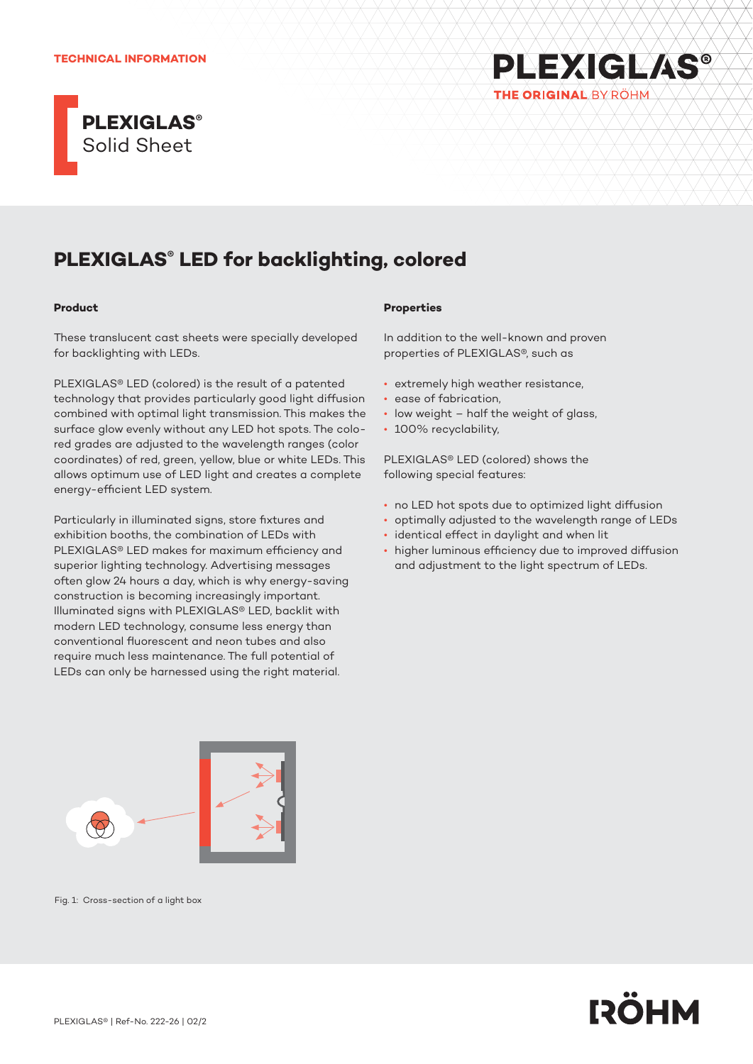### **TECHNICAL INFORMATION**





# **PLEXIGLAS® LED for backlighting, colored**

## **Product**

These translucent cast sheets were specially developed for backlighting with LEDs.

PLEXIGLAS® LED (colored) is the result of a patented technology that provides particularly good light diffusion combined with optimal light transmission. This makes the surface glow evenly without any LED hot spots. The colored grades are adjusted to the wavelength ranges (color coordinates) of red, green, yellow, blue or white LEDs. This allows optimum use of LED light and creates a complete energy-efficient LED system.

Particularly in illuminated signs, store fixtures and exhibition booths, the combination of LEDs with PLEXIGLAS® LED makes for maximum efficiency and superior lighting technology. Advertising messages often glow 24 hours a day, which is why energy-saving construction is becoming increasingly important. Illuminated signs with PLEXIGLAS® LED, backlit with modern LED technology, consume less energy than conventional fluorescent and neon tubes and also require much less maintenance. The full potential of LEDs can only be harnessed using the right material.



Fig. 1: Cross-section of a light box

#### **Properties**

In addition to the well-known and proven properties of PLEXIGLAS®, such as

- extremely high weather resistance,
- ease of fabrication,
- low weight half the weight of glass,
- 100% recyclability,

PLEXIGLAS® LED (colored) shows the following special features:

- no LED hot spots due to optimized light diffusion
- optimally adjusted to the wavelength range of LEDs
- identical effect in daylight and when lit
- higher luminous efficiency due to improved diffusion and adjustment to the light spectrum of LEDs.

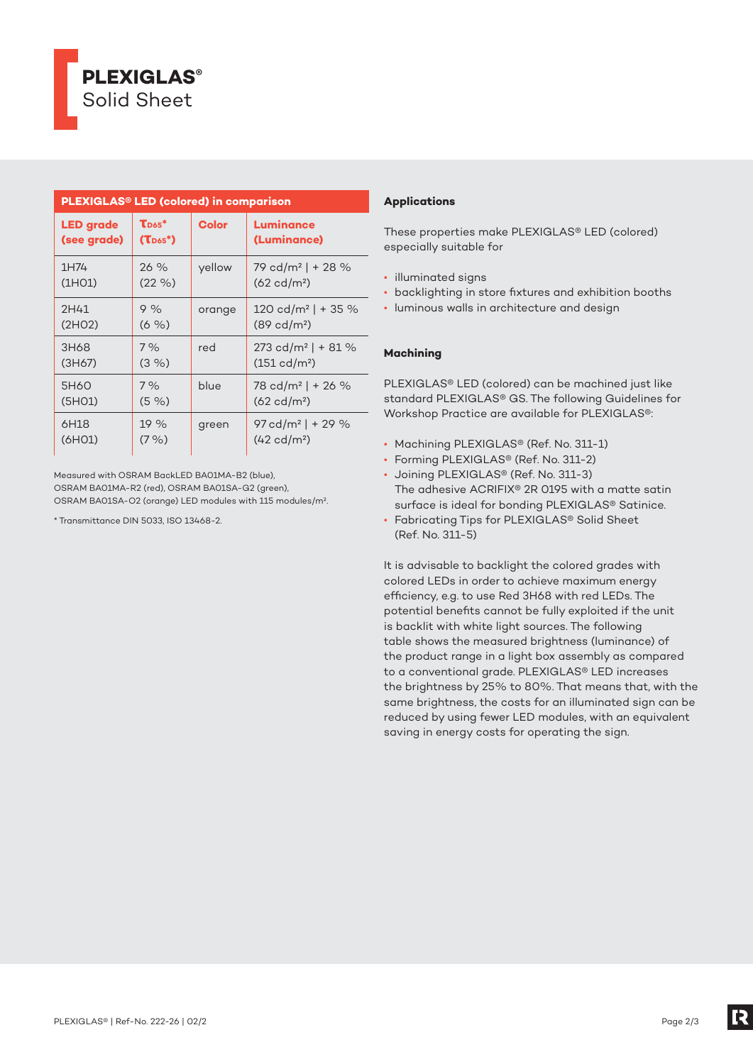

| <b>PLEXIGLAS<sup>®</sup> LED (colored) in comparison</b> |                             |              |                                  |
|----------------------------------------------------------|-----------------------------|--------------|----------------------------------|
| <b>LED</b> grade                                         | $\mathbf{T}_{\text{D65}}$ * | <b>Color</b> | Luminance                        |
| (see grade)                                              | $(T_{D65}^*)$               |              | (Luminance)                      |
| 1H74                                                     | $26\%$                      | yellow       | 79 cd/m <sup>2</sup>   + 28 $%$  |
| (1H <sub>O</sub> 1)                                      | $(22\% )$                   |              | $(62 \text{ cd/m}^2)$            |
| 2H41                                                     | 9%                          | orange       | $120 \text{ cd/m}^2$   + 35 %    |
| (2HO2)                                                   | $(6 \%)$                    |              | $(89 \text{ cd/m}^2)$            |
| 3H68                                                     | 7%                          | red          | $273$ cd/m <sup>2</sup>   + 81 % |
| (3H67)                                                   | $(3\% )$                    |              | $(151 \text{ cd/m}^2)$           |
| 5H60                                                     | 7%                          | blue         | 78 cd/m <sup>2</sup>   + 26 %    |
| (5H <sub>01</sub> )                                      | $(5 \%)$                    |              | $(62 \text{ cd/m}^2)$            |
| 6H18                                                     | 19%                         | green        | $97 \text{ cd/m}^2$   + 29 %     |
| (6H <sub>01</sub> )                                      | $(7\% )$                    |              | $(42 \text{ cd/m}^2)$            |

Measured with OSRAM BackLED BA01MA-B2 (blue), OSRAM BA01MA-R2 (red), OSRAM BA01SA-G2 (green), OSRAM BA01SA-O2 (orange) LED modules with 115 modules/m².

\* Transmittance DIN 5033, ISO 13468-2.

# **Applications**

These properties make PLEXIGLAS® LED (colored) especially suitable for

- illuminated signs
- backlighting in store fixtures and exhibition booths
- luminous walls in architecture and design

## **Machining**

PLEXIGLAS® LED (colored) can be machined just like standard PLEXIGLAS® GS. The following Guidelines for Workshop Practice are available for PLEXIGLAS®:

- Machining PLEXIGLAS® (Ref. No. 311-1)
- Forming PLEXIGLAS® (Ref. No. 311-2)
- Joining PLEXIGLAS® (Ref. No. 311-3) The adhesive ACRIFIX® 2R 0195 with a matte satin surface is ideal for bonding PLEXIGLAS® Satinice.
- Fabricating Tips for PLEXIGLAS® Solid Sheet (Ref. No. 311-5)

It is advisable to backlight the colored grades with colored LEDs in order to achieve maximum energy efficiency, e.g. to use Red 3H68 with red LEDs. The potential benefits cannot be fully exploited if the unit is backlit with white light sources. The following table shows the measured brightness (luminance) of the product range in a light box assembly as compared to a conventional grade. PLEXIGLAS® LED increases the brightness by 25% to 80%. That means that, with the same brightness, the costs for an illuminated sign can be reduced by using fewer LED modules, with an equivalent saving in energy costs for operating the sign.

[2